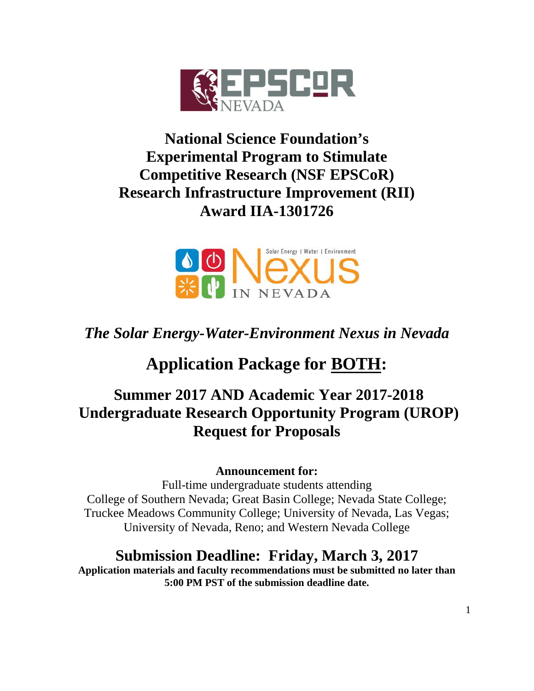

## **National Science Foundation's Experimental Program to Stimulate Competitive Research (NSF EPSCoR) Research Infrastructure Improvement (RII) Award IIA-1301726**



## *The Solar Energy-Water-Environment Nexus in Nevada*

# **Application Package for BOTH:**

## **Summer 2017 AND Academic Year 2017-2018 Undergraduate Research Opportunity Program (UROP) Request for Proposals**

## **Announcement for:**

Full-time undergraduate students attending College of Southern Nevada; Great Basin College; Nevada State College; Truckee Meadows Community College; University of Nevada, Las Vegas; University of Nevada, Reno; and Western Nevada College

## **Submission Deadline: Friday, March 3, 2017**

**Application materials and faculty recommendations must be submitted no later than 5:00 PM PST of the submission deadline date.**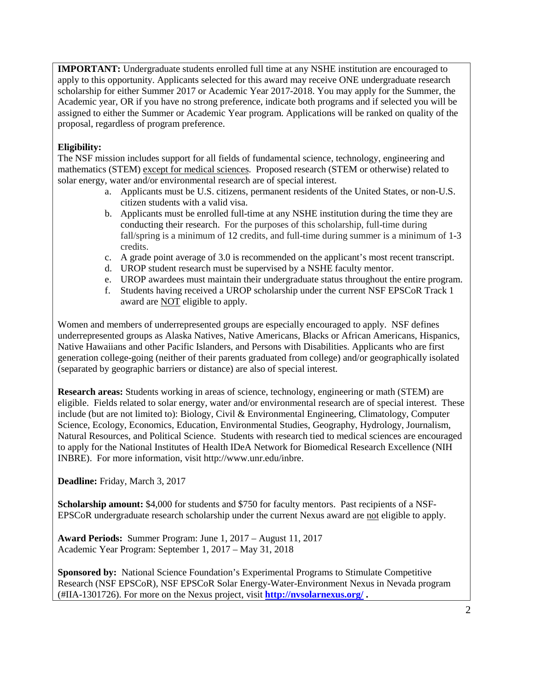**IMPORTANT:** Undergraduate students enrolled full time at any NSHE institution are encouraged to apply to this opportunity. Applicants selected for this award may receive ONE undergraduate research scholarship for either Summer 2017 or Academic Year 2017-2018. You may apply for the Summer, the Academic year, OR if you have no strong preference, indicate both programs and if selected you will be assigned to either the Summer or Academic Year program. Applications will be ranked on quality of the proposal, regardless of program preference.

#### **Eligibility:**

The NSF mission includes support for all fields of fundamental science, technology, engineering and mathematics (STEM) except for medical sciences. Proposed research (STEM or otherwise) related to solar energy, water and/or environmental research are of special interest.

- a. Applicants must be U.S. citizens, permanent residents of the United States, or non-U.S. citizen students with a valid visa.
- b. Applicants must be enrolled full-time at any NSHE institution during the time they are conducting their research. For the purposes of this scholarship, full-time during fall/spring is a minimum of 12 credits, and full-time during summer is a minimum of 1-3 credits.
- c. A grade point average of 3.0 is recommended on the applicant's most recent transcript.
- d. UROP student research must be supervised by a NSHE faculty mentor.
- e. UROP awardees must maintain their undergraduate status throughout the entire program.
- f. Students having received a UROP scholarship under the current NSF EPSCoR Track 1 award are NOT eligible to apply.

Women and members of underrepresented groups are especially encouraged to apply. NSF defines underrepresented groups as Alaska Natives, Native Americans, Blacks or African Americans, Hispanics, Native Hawaiians and other Pacific Islanders, and Persons with Disabilities. Applicants who are first generation college-going (neither of their parents graduated from college) and/or geographically isolated (separated by geographic barriers or distance) are also of special interest.

**Research areas:** Students working in areas of science, technology, engineering or math (STEM) are eligible. Fields related to solar energy, water and/or environmental research are of special interest. These include (but are not limited to): Biology, Civil & Environmental Engineering, Climatology, Computer Science, Ecology, Economics, Education, Environmental Studies, Geography, Hydrology, Journalism, Natural Resources, and Political Science. Students with research tied to medical sciences are encouraged to apply for the National Institutes of Health IDeA Network for Biomedical Research Excellence (NIH INBRE). For more information, visit http://www.unr.edu/inbre.

**Deadline:** Friday, March 3, 2017

**Scholarship amount:** \$4,000 for students and \$750 for faculty mentors. Past recipients of a NSF-EPSCoR undergraduate research scholarship under the current Nexus award are not eligible to apply.

**Award Periods:** Summer Program: June 1, 2017 – August 11, 2017 Academic Year Program: September 1, 2017 – May 31, 2018

**Sponsored by:** National Science Foundation's Experimental Programs to Stimulate Competitive Research (NSF EPSCoR), NSF EPSCoR Solar Energy-Water-Environment Nexus in Nevada program (#IIA-1301726). For more on the Nexus project, visit **<http://nvsolarnexus.org/> .**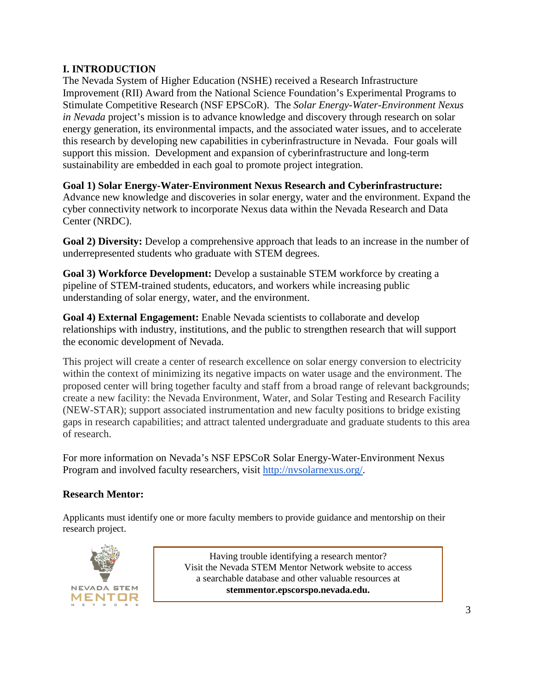## **I. INTRODUCTION**

The Nevada System of Higher Education (NSHE) received a Research Infrastructure Improvement (RII) Award from the National Science Foundation's Experimental Programs to Stimulate Competitive Research (NSF EPSCoR). The *Solar Energy-Water-Environment Nexus in Nevada* project's mission is to advance knowledge and discovery through research on solar energy generation, its environmental impacts, and the associated water issues, and to accelerate this research by developing new capabilities in cyberinfrastructure in Nevada. Four goals will support this mission. Development and expansion of cyberinfrastructure and long-term sustainability are embedded in each goal to promote project integration.

**Goal 1) Solar Energy-Water-Environment Nexus Research and Cyberinfrastructure:** Advance new knowledge and discoveries in solar energy, water and the environment. Expand the cyber connectivity network to incorporate Nexus data within the Nevada Research and Data Center (NRDC).

**Goal 2) Diversity:** Develop a comprehensive approach that leads to an increase in the number of underrepresented students who graduate with STEM degrees.

**Goal 3) Workforce Development:** Develop a sustainable STEM workforce by creating a pipeline of STEM-trained students, educators, and workers while increasing public understanding of solar energy, water, and the environment.

**Goal 4) External Engagement:** Enable Nevada scientists to collaborate and develop relationships with industry, institutions, and the public to strengthen research that will support the economic development of Nevada.

This project will create a center of research excellence on solar energy conversion to electricity within the context of minimizing its negative impacts on water usage and the environment. The proposed center will bring together faculty and staff from a broad range of relevant backgrounds; create a new facility: the Nevada Environment, Water, and Solar Testing and Research Facility (NEW-STAR); support associated instrumentation and new faculty positions to bridge existing gaps in research capabilities; and attract talented undergraduate and graduate students to this area of research.

For more information on Nevada's NSF EPSCoR Solar Energy-Water-Environment Nexus Program and involved faculty researchers, visit [http://nvsolarnexus.org/.](http://nvsolarnexus.org/)

#### **Research Mentor:**

Applicants must identify one or more faculty members to provide guidance and mentorship on their research project.



Having trouble identifying a research mentor? Visit the Nevada STEM Mentor Network website to access a searchable database and other valuable resources at **stemmentor.epscorspo.nevada.edu.**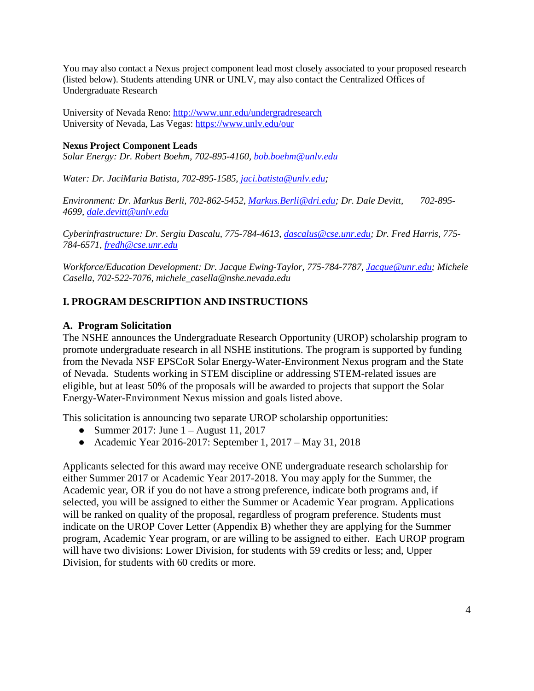You may also contact a Nexus project component lead most closely associated to your proposed research (listed below). Students attending UNR or UNLV, may also contact the Centralized Offices of Undergraduate Research

University of Nevada Reno:<http://www.unr.edu/undergradresearch> University of Nevada, Las Vegas:<https://www.unlv.edu/our>

#### **Nexus Project Component Leads**

*Solar Energy: Dr. Robert Boehm, 702-895-4160, [bob.boehm@unlv.edu](mailto:bob.boehm@unlv.edu)*

*Water: Dr. JaciMaria Batista, 702-895-1585, [jaci.batista@unlv.edu;](mailto:jaci.batista@unlv.edu)* 

*Environment: Dr. Markus Berli, 702-862-5452[, Markus.Berli@dri.edu;](mailto:Markus.Berli@dri.edu) Dr. Dale Devitt, 702-895- 4699, [dale.devitt@unlv.edu](mailto:dale.devitt@unlv.edu)* 

*Cyberinfrastructure: Dr. Sergiu Dascalu, 775-784-4613, [dascalus@cse.unr.edu;](mailto:dascalus@cse.unr.edu) Dr. Fred Harris, 775- 784-6571[, fredh@cse.unr.edu](mailto:fredh@cse.unr.edu)*

*Workforce/Education Development: Dr. Jacque Ewing-Taylor, 775-784-7787, [Jacque@unr.edu;](mailto:Jacque@unr.edu) Michele Casella, 702-522-7076, michele\_casella@nshe.nevada.edu*

#### **I. PROGRAM DESCRIPTION AND INSTRUCTIONS**

#### **A. Program Solicitation**

The NSHE announces the Undergraduate Research Opportunity (UROP) scholarship program to promote undergraduate research in all NSHE institutions. The program is supported by funding from the Nevada NSF EPSCoR Solar Energy-Water-Environment Nexus program and the State of Nevada. Students working in STEM discipline or addressing STEM-related issues are eligible, but at least 50% of the proposals will be awarded to projects that support the Solar Energy-Water-Environment Nexus mission and goals listed above.

This solicitation is announcing two separate UROP scholarship opportunities:

- Summer 2017: June  $1 -$ August 11, 2017
- Academic Year 2016-2017: September 1, 2017 May 31, 2018

Applicants selected for this award may receive ONE undergraduate research scholarship for either Summer 2017 or Academic Year 2017-2018. You may apply for the Summer, the Academic year, OR if you do not have a strong preference, indicate both programs and, if selected, you will be assigned to either the Summer or Academic Year program. Applications will be ranked on quality of the proposal, regardless of program preference. Students must indicate on the UROP Cover Letter (Appendix B) whether they are applying for the Summer program, Academic Year program, or are willing to be assigned to either. Each UROP program will have two divisions: Lower Division, for students with 59 credits or less; and, Upper Division, for students with 60 credits or more.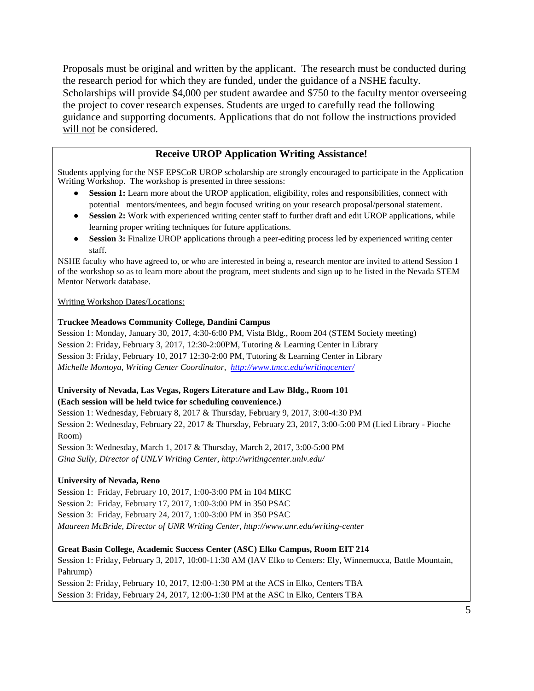Proposals must be original and written by the applicant. The research must be conducted during the research period for which they are funded, under the guidance of a NSHE faculty. Scholarships will provide \$4,000 per student awardee and \$750 to the faculty mentor overseeing the project to cover research expenses. Students are urged to carefully read the following guidance and supporting documents. Applications that do not follow the instructions provided will not be considered.

### **Receive UROP Application Writing Assistance!**

Students applying for the NSF EPSCoR UROP scholarship are strongly encouraged to participate in the Application Writing Workshop. The workshop is presented in three sessions:

- **Session 1:** Learn more about the UROP application, eligibility, roles and responsibilities, connect with potential mentors/mentees, and begin focused writing on your research proposal/personal statement.
- **Session 2:** Work with experienced writing center staff to further draft and edit UROP applications, while learning proper writing techniques for future applications.
- **Session 3:** Finalize UROP applications through a peer-editing process led by experienced writing center staff.

NSHE faculty who have agreed to, or who are interested in being a, research mentor are invited to attend Session 1 of the workshop so as to learn more about the program, meet students and sign up to be listed in the Nevada STEM Mentor Network database.

#### Writing Workshop Dates/Locations:

#### **Truckee Meadows Community College, Dandini Campus**

Session 1: Monday, January 30, 2017, 4:30-6:00 PM, Vista Bldg., Room 204 (STEM Society meeting) Session 2: Friday, February 3, 2017, 12:30-2:00PM, Tutoring & Learning Center in Library Session 3: Friday, February 10, 2017 12:30-2:00 PM, Tutoring & Learning Center in Library *Michelle Montoya, Writing Center Coordinator,<http://www.tmcc.edu/writingcenter/>*

#### **University of Nevada, Las Vegas, Rogers Literature and Law Bldg., Room 101 (Each session will be held twice for scheduling convenience.)**

Session 1: Wednesday, February 8, 2017 & Thursday, February 9, 2017, 3:00-4:30 PM Session 2: Wednesday, February 22, 2017 & Thursday, February 23, 2017, 3:00-5:00 PM (Lied Library - Pioche Room) Session 3: Wednesday, March 1, 2017 & Thursday, March 2, 2017, 3:00-5:00 PM *Gina Sully, Director of UNLV Writing Center, http://writingcenter.unlv.edu/* 

#### **University of Nevada, Reno**

Session 1: Friday, February 10, 2017, 1:00-3:00 PM in 104 MIKC

Session 2: Friday, February 17, 2017, 1:00-3:00 PM in 350 PSAC

Session 3: Friday, February 24, 2017, 1:00-3:00 PM in 350 PSAC

*Maureen McBride, Director of UNR Writing Center, http://www.unr.edu/writing-center* 

#### **Great Basin College, Academic Success Center (ASC) Elko Campus, Room EIT 214**

Session 1: Friday, February 3, 2017, 10:00-11:30 AM (IAV Elko to Centers: Ely, Winnemucca, Battle Mountain, Pahrump)

Session 2: Friday, February 10, 2017, 12:00-1:30 PM at the ACS in Elko, Centers TBA Session 3: Friday, February 24, 2017, 12:00-1:30 PM at the ASC in Elko, Centers TBA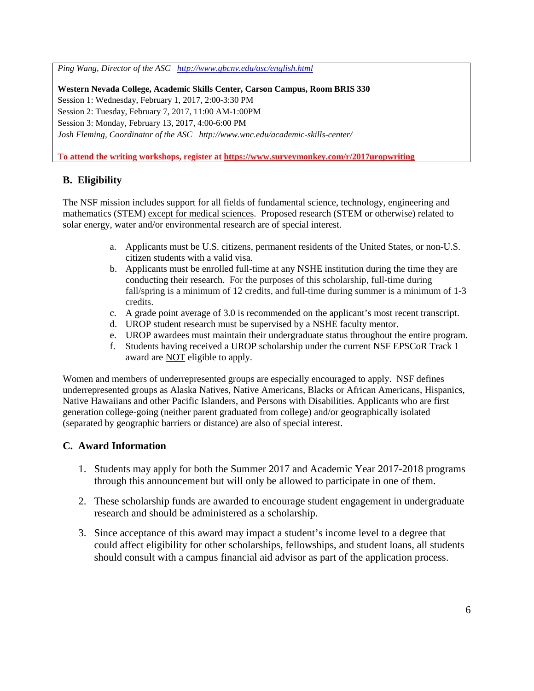*Ping Wang, Director of the ASC <http://www.gbcnv.edu/asc/english.html>*

**Western Nevada College, Academic Skills Center, Carson Campus, Room BRIS 330**  Session 1: Wednesday, February 1, 2017, 2:00-3:30 PM Session 2: Tuesday, February 7, 2017, 11:00 AM-1:00PM Session 3: Monday, February 13, 2017, 4:00-6:00 PM *Josh Fleming, Coordinator of the ASC http://www.wnc.edu/academic-skills-center/*

**To attend the writing workshops, register at<https://www.surveymonkey.com/r/2017uropwriting>**

## **B. Eligibility**

The NSF mission includes support for all fields of fundamental science, technology, engineering and mathematics (STEM) except for medical sciences. Proposed research (STEM or otherwise) related to solar energy, water and/or environmental research are of special interest.

- a. Applicants must be U.S. citizens, permanent residents of the United States, or non-U.S. citizen students with a valid visa.
- b. Applicants must be enrolled full-time at any NSHE institution during the time they are conducting their research. For the purposes of this scholarship, full-time during fall/spring is a minimum of 12 credits, and full-time during summer is a minimum of 1-3 credits.
- c. A grade point average of 3.0 is recommended on the applicant's most recent transcript.
- d. UROP student research must be supervised by a NSHE faculty mentor.
- e. UROP awardees must maintain their undergraduate status throughout the entire program.
- f. Students having received a UROP scholarship under the current NSF EPSCoR Track 1 award are NOT eligible to apply.

Women and members of underrepresented groups are especially encouraged to apply. NSF defines underrepresented groups as Alaska Natives, Native Americans, Blacks or African Americans, Hispanics, Native Hawaiians and other Pacific Islanders, and Persons with Disabilities. Applicants who are first generation college-going (neither parent graduated from college) and/or geographically isolated (separated by geographic barriers or distance) are also of special interest.

#### **C. Award Information**

- 1. Students may apply for both the Summer 2017 and Academic Year 2017-2018 programs through this announcement but will only be allowed to participate in one of them.
- 2. These scholarship funds are awarded to encourage student engagement in undergraduate research and should be administered as a scholarship.
- 3. Since acceptance of this award may impact a student's income level to a degree that could affect eligibility for other scholarships, fellowships, and student loans, all students should consult with a campus financial aid advisor as part of the application process.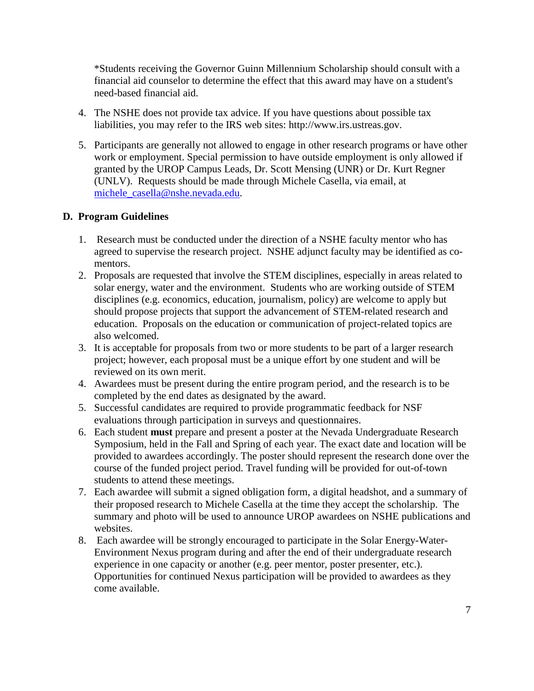\*Students receiving the Governor Guinn Millennium Scholarship should consult with a financial aid counselor to determine the effect that this award may have on a student's need-based financial aid.

- 4. The NSHE does not provide tax advice. If you have questions about possible tax liabilities, you may refer to the IRS web sites: [http://www.irs.ustreas.gov.](http://www.irs.ustreas.gov/)
- 5. Participants are generally not allowed to engage in other research programs or have other work or employment. Special permission to have outside employment is only allowed if granted by the UROP Campus Leads, Dr. Scott Mensing (UNR) or Dr. Kurt Regner (UNLV). Requests should be made through Michele Casella, via email, at [michele\\_casella@nshe.nevada.edu.](mailto:michele_casella@nshe.nevada.edu)

## **D. Program Guidelines**

- 1. Research must be conducted under the direction of a NSHE faculty mentor who has agreed to supervise the research project. NSHE adjunct faculty may be identified as comentors.
- 2. Proposals are requested that involve the STEM disciplines, especially in areas related to solar energy, water and the environment. Students who are working outside of STEM disciplines (e.g. economics, education, journalism, policy) are welcome to apply but should propose projects that support the advancement of STEM-related research and education. Proposals on the education or communication of project-related topics are also welcomed.
- 3. It is acceptable for proposals from two or more students to be part of a larger research project; however, each proposal must be a unique effort by one student and will be reviewed on its own merit.
- 4. Awardees must be present during the entire program period, and the research is to be completed by the end dates as designated by the award.
- 5. Successful candidates are required to provide programmatic feedback for NSF evaluations through participation in surveys and questionnaires.
- 6. Each student **must** prepare and present a poster at the Nevada Undergraduate Research Symposium, held in the Fall and Spring of each year. The exact date and location will be provided to awardees accordingly. The poster should represent the research done over the course of the funded project period. Travel funding will be provided for out-of-town students to attend these meetings.
- 7. Each awardee will submit a signed obligation form, a digital headshot, and a summary of their proposed research to Michele Casella at the time they accept the scholarship. The summary and photo will be used to announce UROP awardees on NSHE publications and websites.
- 8. Each awardee will be strongly encouraged to participate in the Solar Energy-Water-Environment Nexus program during and after the end of their undergraduate research experience in one capacity or another (e.g. peer mentor, poster presenter, etc.). Opportunities for continued Nexus participation will be provided to awardees as they come available.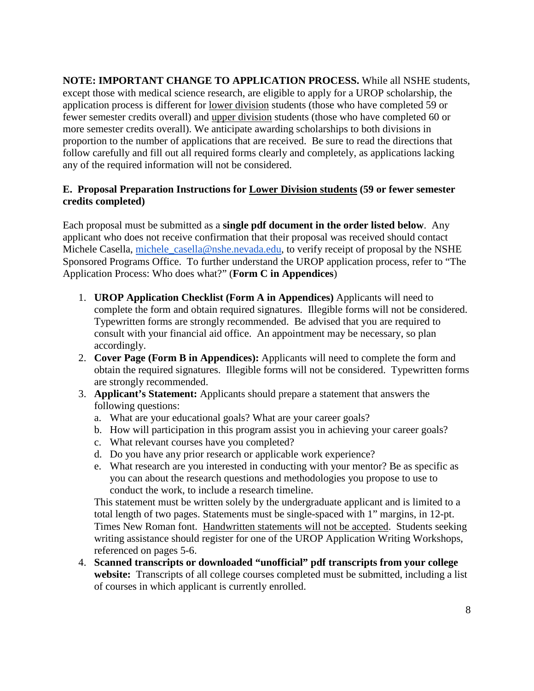**NOTE: IMPORTANT CHANGE TO APPLICATION PROCESS.** While all NSHE students, except those with medical science research, are eligible to apply for a UROP scholarship, the application process is different for lower division students (those who have completed 59 or fewer semester credits overall) and upper division students (those who have completed 60 or more semester credits overall). We anticipate awarding scholarships to both divisions in proportion to the number of applications that are received. Be sure to read the directions that follow carefully and fill out all required forms clearly and completely, as applications lacking any of the required information will not be considered.

#### **E. Proposal Preparation Instructions for Lower Division students (59 or fewer semester credits completed)**

Each proposal must be submitted as a **single pdf document in the order listed below**. Any applicant who does not receive confirmation that their proposal was received should contact Michele Casella, [michele\\_casella@nshe.nevada.edu,](mailto:robin_gonzales@nshe.nevada.edu) to verify receipt of proposal by the NSHE Sponsored Programs Office. To further understand the UROP application process, refer to "The Application Process: Who does what?" (**Form C in Appendices**)

- 1. **UROP Application Checklist (Form A in Appendices)** Applicants will need to complete the form and obtain required signatures. Illegible forms will not be considered. Typewritten forms are strongly recommended. Be advised that you are required to consult with your financial aid office. An appointment may be necessary, so plan accordingly.
- 2. **Cover Page (Form B in Appendices):** Applicants will need to complete the form and obtain the required signatures. Illegible forms will not be considered. Typewritten forms are strongly recommended.
- 3. **Applicant's Statement:** Applicants should prepare a statement that answers the following questions:
	- a. What are your educational goals? What are your career goals?
	- b. How will participation in this program assist you in achieving your career goals?
	- c. What relevant courses have you completed?
	- d. Do you have any prior research or applicable work experience?
	- e. What research are you interested in conducting with your mentor? Be as specific as you can about the research questions and methodologies you propose to use to conduct the work, to include a research timeline.

This statement must be written solely by the undergraduate applicant and is limited to a total length of two pages. Statements must be single-spaced with 1" margins, in 12-pt. Times New Roman font. Handwritten statements will not be accepted. Students seeking writing assistance should register for one of the UROP Application Writing Workshops, referenced on pages 5-6.

4. **Scanned transcripts or downloaded "unofficial" pdf transcripts from your college website:** Transcripts of all college courses completed must be submitted, including a list of courses in which applicant is currently enrolled.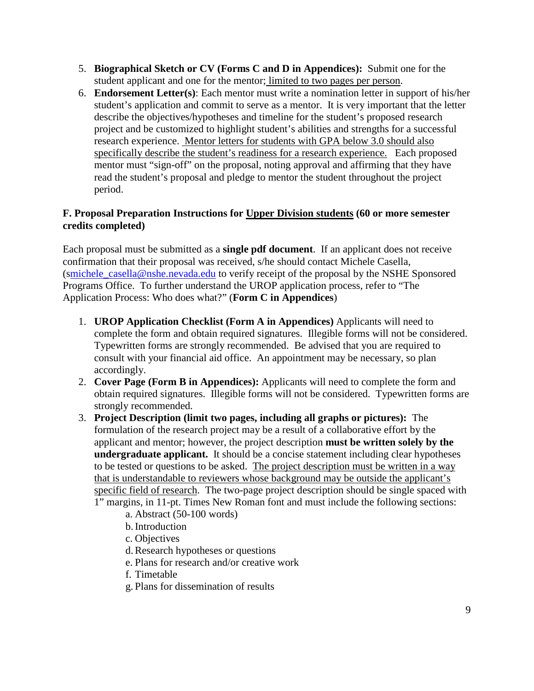- 5. **Biographical Sketch or CV (Forms C and D in Appendices):** Submit one for the student applicant and one for the mentor; limited to two pages per person.
- 6. **Endorsement Letter(s)**: Each mentor must write a nomination letter in support of his/her student's application and commit to serve as a mentor. It is very important that the letter describe the objectives/hypotheses and timeline for the student's proposed research project and be customized to highlight student's abilities and strengths for a successful research experience. Mentor letters for students with GPA below 3.0 should also specifically describe the student's readiness for a research experience. Each proposed mentor must "sign-off" on the proposal, noting approval and affirming that they have read the student's proposal and pledge to mentor the student throughout the project period.

### **F. Proposal Preparation Instructions for Upper Division students (60 or more semester credits completed)**

Each proposal must be submitted as a **single pdf document**. If an applicant does not receive confirmation that their proposal was received, s/he should contact Michele Casella, ([smichele\\_casella@nshe.nevada.edu](mailto:michele_casella@nshe.nevada.edu) to verify receipt of the proposal by the NSHE Sponsored Programs Office. To further understand the UROP application process, refer to "The Application Process: Who does what?" (**Form C in Appendices**)

- 1. **UROP Application Checklist (Form A in Appendices)** Applicants will need to complete the form and obtain required signatures. Illegible forms will not be considered. Typewritten forms are strongly recommended. Be advised that you are required to consult with your financial aid office. An appointment may be necessary, so plan accordingly.
- 2. **Cover Page (Form B in Appendices):** Applicants will need to complete the form and obtain required signatures. Illegible forms will not be considered. Typewritten forms are strongly recommended.
- 3. **Project Description (limit two pages, including all graphs or pictures):** The formulation of the research project may be a result of a collaborative effort by the applicant and mentor; however, the project description **must be written solely by the undergraduate applicant.** It should be a concise statement including clear hypotheses to be tested or questions to be asked. The project description must be written in a way that is understandable to reviewers whose background may be outside the applicant's specific field of research. The two-page project description should be single spaced with 1" margins, in 11-pt. Times New Roman font and must include the following sections:
	- a. Abstract (50-100 words)
		- b.Introduction
		- c. Objectives
		- d.Research hypotheses or questions
		- e. Plans for research and/or creative work
		- f. Timetable
		- g. Plans for dissemination of results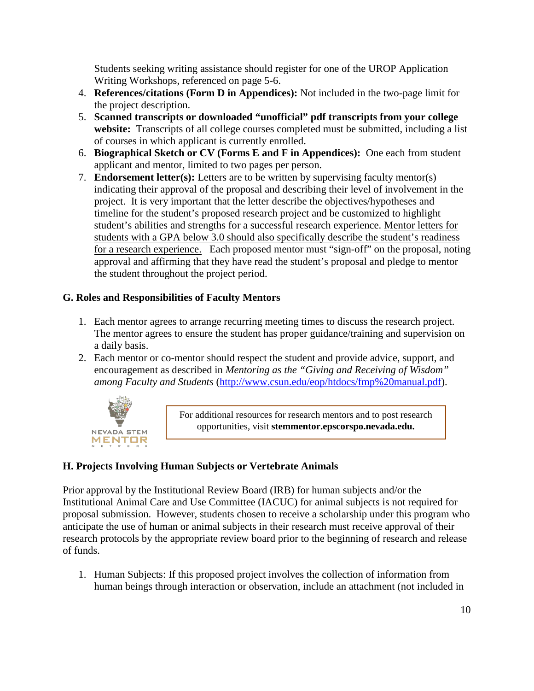Students seeking writing assistance should register for one of the UROP Application Writing Workshops, referenced on page 5-6.

- 4. **References/citations (Form D in Appendices):** Not included in the two-page limit for the project description.
- 5. **Scanned transcripts or downloaded "unofficial" pdf transcripts from your college website:** Transcripts of all college courses completed must be submitted, including a list of courses in which applicant is currently enrolled.
- 6. **Biographical Sketch or CV (Forms E and F in Appendices):** One each from student applicant and mentor, limited to two pages per person.
- 7. **Endorsement letter(s):** Letters are to be written by supervising faculty mentor(s) indicating their approval of the proposal and describing their level of involvement in the project. It is very important that the letter describe the objectives/hypotheses and timeline for the student's proposed research project and be customized to highlight student's abilities and strengths for a successful research experience. Mentor letters for students with a GPA below 3.0 should also specifically describe the student's readiness for a research experience. Each proposed mentor must "sign-off" on the proposal, noting approval and affirming that they have read the student's proposal and pledge to mentor the student throughout the project period.

## **G. Roles and Responsibilities of Faculty Mentors**

- 1. Each mentor agrees to arrange recurring meeting times to discuss the research project. The mentor agrees to ensure the student has proper guidance/training and supervision on a daily basis.
- 2. Each mentor or co-mentor should respect the student and provide advice, support, and encouragement as described in *Mentoring as the "Giving and Receiving of Wisdom" among Faculty and Students* [\(http://www.csun.edu/eop/htdocs/fmp%20manual.pdf\)](http://www.csun.edu/eop/htdocs/fmp%20manual.pdf).



For additional resources for research mentors and to post research opportunities, visit **stemmentor.epscorspo.nevada.edu.** 

## **H. Projects Involving Human Subjects or Vertebrate Animals**

Prior approval by the Institutional Review Board (IRB) for human subjects and/or the Institutional Animal Care and Use Committee (IACUC) for animal subjects is not required for proposal submission. However, students chosen to receive a scholarship under this program who anticipate the use of human or animal subjects in their research must receive approval of their research protocols by the appropriate review board prior to the beginning of research and release of funds.

1. Human Subjects: If this proposed project involves the collection of information from human beings through interaction or observation, include an attachment (not included in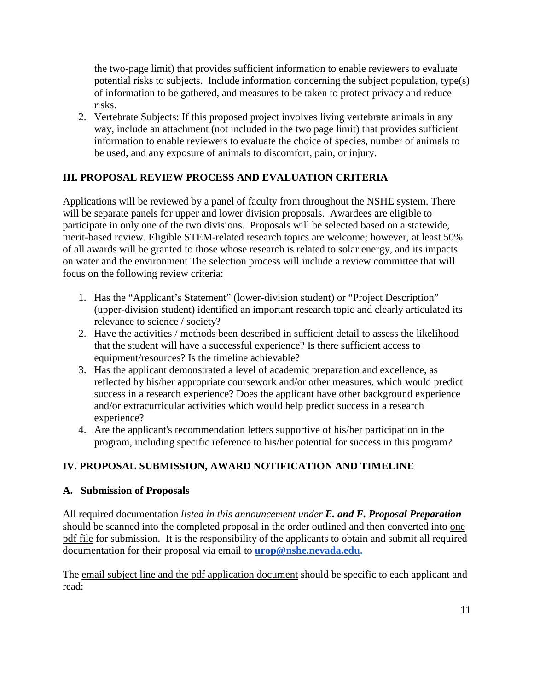the two-page limit) that provides sufficient information to enable reviewers to evaluate potential risks to subjects. Include information concerning the subject population, type(s) of information to be gathered, and measures to be taken to protect privacy and reduce risks.

2. Vertebrate Subjects: If this proposed project involves living vertebrate animals in any way, include an attachment (not included in the two page limit) that provides sufficient information to enable reviewers to evaluate the choice of species, number of animals to be used, and any exposure of animals to discomfort, pain, or injury.

## **III. PROPOSAL REVIEW PROCESS AND EVALUATION CRITERIA**

Applications will be reviewed by a panel of faculty from throughout the NSHE system. There will be separate panels for upper and lower division proposals. Awardees are eligible to participate in only one of the two divisions. Proposals will be selected based on a statewide, merit-based review. Eligible STEM-related research topics are welcome; however, at least 50% of all awards will be granted to those whose research is related to solar energy, and its impacts on water and the environment The selection process will include a review committee that will focus on the following review criteria:

- 1. Has the "Applicant's Statement" (lower-division student) or "Project Description" (upper-division student) identified an important research topic and clearly articulated its relevance to science / society?
- 2. Have the activities / methods been described in sufficient detail to assess the likelihood that the student will have a successful experience? Is there sufficient access to equipment/resources? Is the timeline achievable?
- 3. Has the applicant demonstrated a level of academic preparation and excellence, as reflected by his/her appropriate coursework and/or other measures, which would predict success in a research experience? Does the applicant have other background experience and/or extracurricular activities which would help predict success in a research experience?
- 4. Are the applicant's recommendation letters supportive of his/her participation in the program, including specific reference to his/her potential for success in this program?

## **IV. PROPOSAL SUBMISSION, AWARD NOTIFICATION AND TIMELINE**

#### **A. Submission of Proposals**

All required documentation *listed in this announcement under E. and F. Proposal Preparation* should be scanned into the completed proposal in the order outlined and then converted into one pdf file for submission. It is the responsibility of the applicants to obtain and submit all required documentation for their proposal via email to **[urop@nshe.nevada.edu.](mailto:urop@nshe.nevada.edu)** 

The email subject line and the pdf application document should be specific to each applicant and read: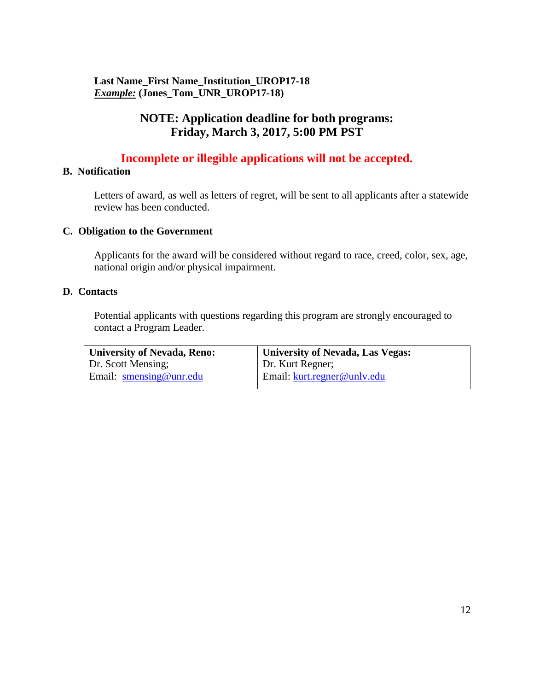## **Last Name\_First Name\_Institution\_UROP17-18**  *Example:* **(Jones\_Tom\_UNR\_UROP17-18)**

## **NOTE: Application deadline for both programs: Friday, March 3, 2017, 5:00 PM PST**

## **Incomplete or illegible applications will not be accepted.**

#### **B. Notification**

Letters of award, as well as letters of regret, will be sent to all applicants after a statewide review has been conducted.

#### **C. Obligation to the Government**

Applicants for the award will be considered without regard to race, creed, color, sex, age, national origin and/or physical impairment.

#### **D. Contacts**

Potential applicants with questions regarding this program are strongly encouraged to contact a Program Leader.

| <b>University of Nevada, Reno:</b> | <b>University of Nevada, Las Vegas:</b> |
|------------------------------------|-----------------------------------------|
| Dr. Scott Mensing;                 | Dr. Kurt Regner;                        |
| Email: $smensing@unredu$           | Email: kurt.regner@unly.edu             |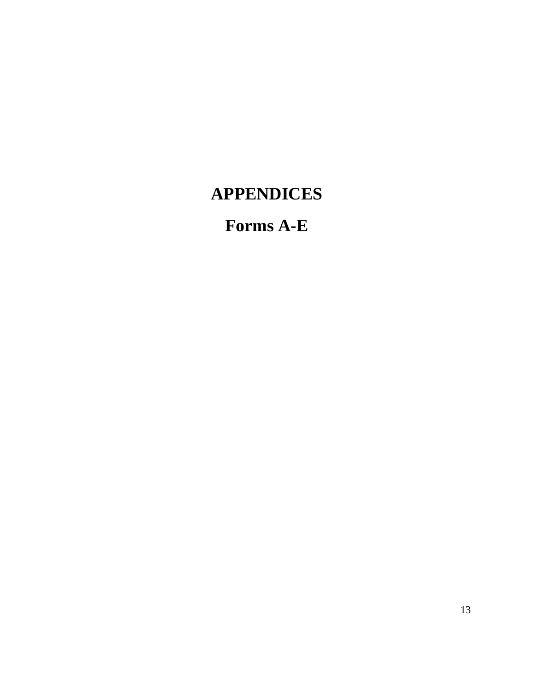# **APPENDICES**

# **Forms A-E**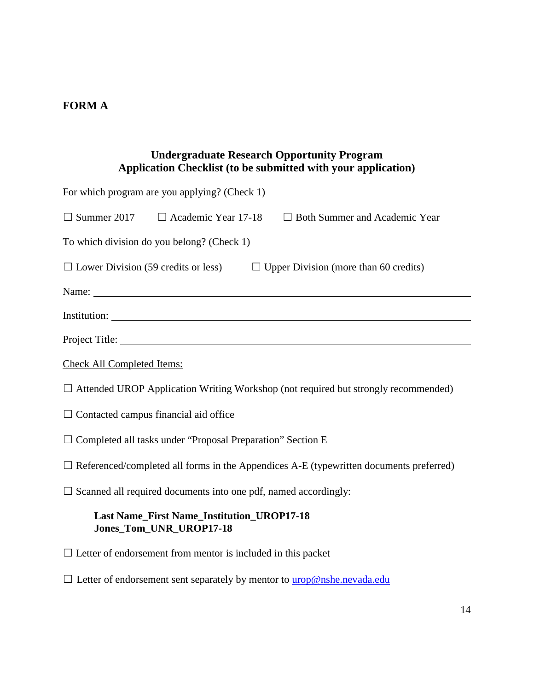## **FORM A**

## **Undergraduate Research Opportunity Program Application Checklist (to be submitted with your application)**

| For which program are you applying? (Check 1)                                                 |
|-----------------------------------------------------------------------------------------------|
| $\Box$ Summer 2017 $\Box$ Academic Year 17-18<br>$\Box$ Both Summer and Academic Year         |
| To which division do you belong? (Check 1)                                                    |
| $\Box$ Lower Division (59 credits or less)<br>$\Box$ Upper Division (more than 60 credits)    |
| Name:                                                                                         |
|                                                                                               |
|                                                                                               |
| <b>Check All Completed Items:</b>                                                             |
| $\Box$ Attended UROP Application Writing Workshop (not required but strongly recommended)     |
| $\Box$ Contacted campus financial aid office                                                  |
| $\Box$ Completed all tasks under "Proposal Preparation" Section E                             |
| $\Box$ Referenced/completed all forms in the Appendices A-E (typewritten documents preferred) |
| $\Box$ Scanned all required documents into one pdf, named accordingly:                        |
| <b>Last Name_First Name_Institution_UROP17-18</b><br>Jones_Tom_UNR_UROP17-18                  |
| $\Box$ Letter of endorsement from mentor is included in this packet                           |
| $\Box$ Letter of endorsement sent separately by mentor to $urop@nshe.newada.edu$              |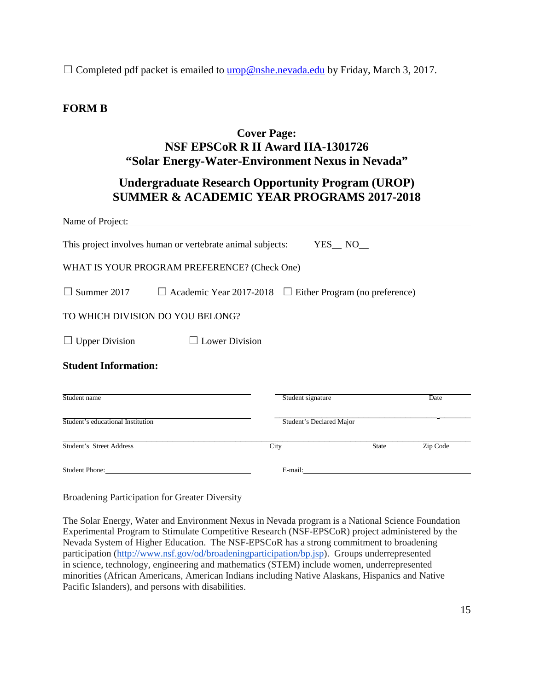$\Box$  Completed pdf packet is emailed to **urop@nshe.nevada.edu** by Friday, March 3, 2017.

## **FORM B**

## **Cover Page: NSF EPSCoR R II Award IIA-1301726 "Solar Energy-Water-Environment Nexus in Nevada"**

## **Undergraduate Research Opportunity Program (UROP) SUMMER & ACADEMIC YEAR PROGRAMS 2017-2018**

|                                   | Name of Project:                                                     |                          |          |
|-----------------------------------|----------------------------------------------------------------------|--------------------------|----------|
|                                   | This project involves human or vertebrate animal subjects:           | $YES$ NO_                |          |
|                                   | WHAT IS YOUR PROGRAM PREFERENCE? (Check One)                         |                          |          |
| $\Box$ Summer 2017                | $\Box$ Academic Year 2017-2018 $\Box$ Either Program (no preference) |                          |          |
|                                   | TO WHICH DIVISION DO YOU BELONG?                                     |                          |          |
| $\Box$ Upper Division             | <b>Lower Division</b>                                                |                          |          |
| <b>Student Information:</b>       |                                                                      |                          |          |
| Student name                      |                                                                      | Student signature        | Date     |
| Student's educational Institution |                                                                      | Student's Declared Major |          |
| Student's Street Address          |                                                                      | City<br><b>State</b>     | Zip Code |
| <b>Student Phone:</b>             |                                                                      | E-mail:                  |          |

Broadening Participation for Greater Diversity

The Solar Energy, Water and Environment Nexus in Nevada program is a National Science Foundation Experimental Program to Stimulate Competitive Research (NSF-EPSCoR) project administered by the Nevada System of Higher Education. The NSF-EPSCoR has a strong commitment to broadening participation [\(http://www.nsf.gov/od/broadeningparticipation/bp.jsp\)](http://www.nsf.gov/od/broadeningparticipation/bp.jsp). Groups underrepresented in science, technology, engineering and mathematics (STEM) include women, underrepresented minorities (African Americans, American Indians including Native Alaskans, Hispanics and Native Pacific Islanders), and persons with disabilities.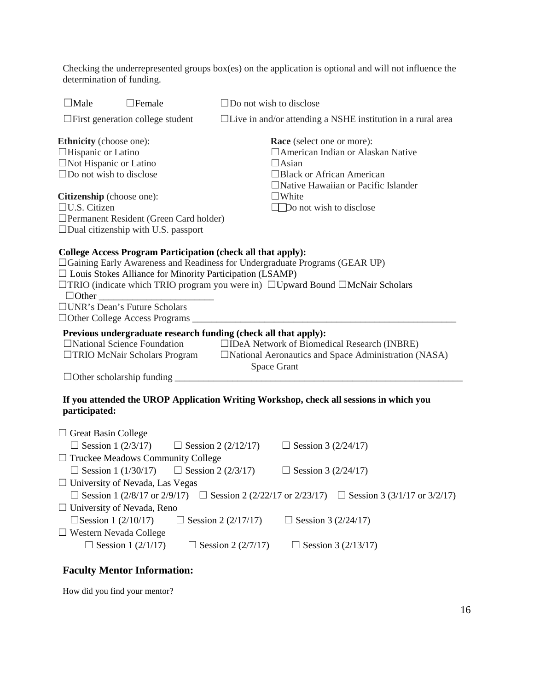Checking the underrepresented groups box(es) on the application is optional and will not influence the determination of funding.

| $\Box$ Male<br>$\Box$ Female                                                                                                                                                                                                                                                                                                                                                                                                                                                                     | $\Box$ Do not wish to disclose                                                                                                                                                                                                                                                                                  |  |
|--------------------------------------------------------------------------------------------------------------------------------------------------------------------------------------------------------------------------------------------------------------------------------------------------------------------------------------------------------------------------------------------------------------------------------------------------------------------------------------------------|-----------------------------------------------------------------------------------------------------------------------------------------------------------------------------------------------------------------------------------------------------------------------------------------------------------------|--|
| $\Box$ First generation college student                                                                                                                                                                                                                                                                                                                                                                                                                                                          | □Live in and/or attending a NSHE institution in a rural area                                                                                                                                                                                                                                                    |  |
| <b>Ethnicity</b> (choose one):<br><b>Race</b> (select one or more):<br>$\Box$ Hispanic or Latino<br>□ American Indian or Alaskan Native<br>$\Box$ Not Hispanic or Latino<br>$\Box$ Asian<br>$\Box$ Do not wish to disclose<br>□Black or African American<br>□Native Hawaiian or Pacific Islander<br>Citizenship (choose one):<br>$\Box$ White<br>$\Box$ U.S. Citizen<br>$\Box$ Do not wish to disclose<br>□ Permanent Resident (Green Card holder)<br>$\Box$ Dual citizenship with U.S. passport |                                                                                                                                                                                                                                                                                                                 |  |
| <b>College Access Program Participation (check all that apply):</b><br>$\Box$ Louis Stokes Alliance for Minority Participation (LSAMP)<br>$\Box$ Other<br>□ UNR's Dean's Future Scholars<br>□ Other College Access Programs ___<br>Previous undergraduate research funding (check all that apply):<br>$\Box$ National Science Foundation<br>□TRIO McNair Scholars Program<br>$\Box$ Other scholarship funding                                                                                    | □ Gaining Early Awareness and Readiness for Undergraduate Programs (GEAR UP)<br>$\Box$ TRIO (indicate which TRIO program you were in) $\Box$ Upward Bound $\Box$ McNair Scholars<br>□IDeA Network of Biomedical Research (INBRE)<br>□National Aeronautics and Space Administration (NASA)<br><b>Space Grant</b> |  |
| participated:                                                                                                                                                                                                                                                                                                                                                                                                                                                                                    | If you attended the UROP Application Writing Workshop, check all sessions in which you                                                                                                                                                                                                                          |  |
| $\Box$ Great Basin College<br>$\Box$ Session 1 (2/3/17)<br>$\Box$ Truckee Meadows Community College<br>$\Box$ Session 1 (1/30/17) $\Box$ Session 2 (2/3/17)<br>$\Box$ University of Nevada, Las Vegas<br>□ Session 1 (2/8/17 or 2/9/17) □ Session 2 (2/22/17 or 2/23/17)<br>$\Box$ University of Nevada, Reno<br>$\Box$ Session 1 (2/10/17)<br>$\Box$ Western Nevada College                                                                                                                     | $\Box$ Session 2 (2/12/17)<br>$\Box$ Session 3 (2/24/17)<br>$\Box$ Session 3 (2/24/17)<br>□ Session 3 (3/1/17 or 3/2/17)<br>Session 2 (2/17/17)<br>$\Box$ Session 3 (2/24/17)                                                                                                                                   |  |
| $\Box$ Session 1 (2/1/17)                                                                                                                                                                                                                                                                                                                                                                                                                                                                        | $\Box$ Session 2 (2/7/17)<br>$\Box$ Session 3 (2/13/17)                                                                                                                                                                                                                                                         |  |

## **Faculty Mentor Information:**

How did you find your mentor?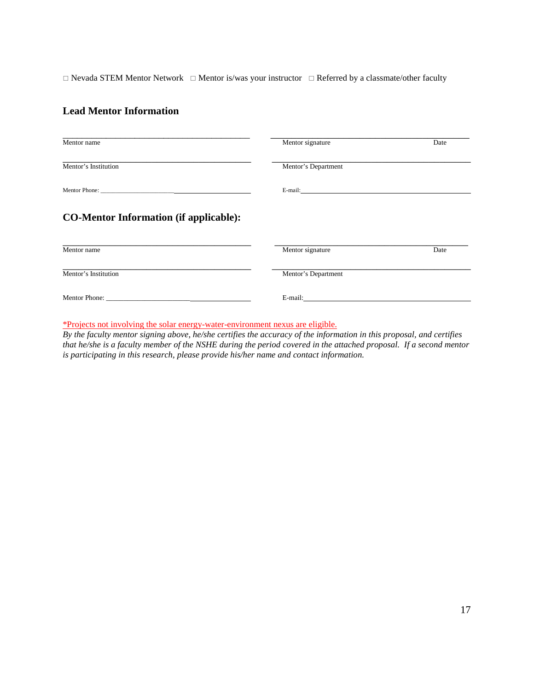$\Box$  Nevada STEM Mentor Network  $\Box$  Mentor is/was your instructor  $\Box$  Referred by a classmate/other faculty

#### **Lead Mentor Information**

| Mentor name                                   | Mentor signature                                                                                                                                                                                                               | Date |
|-----------------------------------------------|--------------------------------------------------------------------------------------------------------------------------------------------------------------------------------------------------------------------------------|------|
| Mentor's Institution                          | Mentor's Department                                                                                                                                                                                                            |      |
|                                               | E-mail: The contract of the contract of the contract of the contract of the contract of the contract of the contract of the contract of the contract of the contract of the contract of the contract of the contract of the co |      |
| <b>CO-Mentor Information (if applicable):</b> |                                                                                                                                                                                                                                |      |
|                                               |                                                                                                                                                                                                                                |      |
|                                               | Mentor signature                                                                                                                                                                                                               | Date |
| Mentor name<br>Mentor's Institution           | Mentor's Department                                                                                                                                                                                                            |      |

\*Projects not involving the solar energy-water-environment nexus are eligible.

*By the faculty mentor signing above, he/she certifies the accuracy of the information in this proposal, and certifies that he/she is a faculty member of the NSHE during the period covered in the attached proposal. If a second mentor is participating in this research, please provide his/her name and contact information.*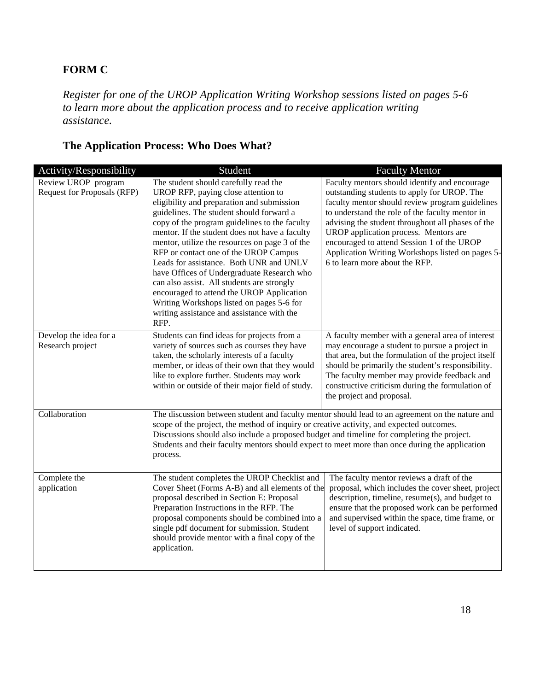## **FORM C**

*Register for one of the UROP Application Writing Workshop sessions listed on pages 5-6 to learn more about the application process and to receive application writing assistance.*

## **The Application Process: Who Does What?**

| Activity/Responsibility                            | Student                                                                                                                                                                                                                                                                                                                                                                                                                                                                                                                                                                                                                                                     | <b>Faculty Mentor</b>                                                                                                                                                                                                                                                                                                                                                                                                                |
|----------------------------------------------------|-------------------------------------------------------------------------------------------------------------------------------------------------------------------------------------------------------------------------------------------------------------------------------------------------------------------------------------------------------------------------------------------------------------------------------------------------------------------------------------------------------------------------------------------------------------------------------------------------------------------------------------------------------------|--------------------------------------------------------------------------------------------------------------------------------------------------------------------------------------------------------------------------------------------------------------------------------------------------------------------------------------------------------------------------------------------------------------------------------------|
| Review UROP program<br>Request for Proposals (RFP) | The student should carefully read the<br>UROP RFP, paying close attention to<br>eligibility and preparation and submission<br>guidelines. The student should forward a<br>copy of the program guidelines to the faculty<br>mentor. If the student does not have a faculty<br>mentor, utilize the resources on page 3 of the<br>RFP or contact one of the UROP Campus<br>Leads for assistance. Both UNR and UNLV<br>have Offices of Undergraduate Research who<br>can also assist. All students are strongly<br>encouraged to attend the UROP Application<br>Writing Workshops listed on pages 5-6 for<br>writing assistance and assistance with the<br>RFP. | Faculty mentors should identify and encourage<br>outstanding students to apply for UROP. The<br>faculty mentor should review program guidelines<br>to understand the role of the faculty mentor in<br>advising the student throughout all phases of the<br>UROP application process. Mentors are<br>encouraged to attend Session 1 of the UROP<br>Application Writing Workshops listed on pages 5-<br>6 to learn more about the RFP. |
| Develop the idea for a<br>Research project         | Students can find ideas for projects from a<br>variety of sources such as courses they have<br>taken, the scholarly interests of a faculty<br>member, or ideas of their own that they would<br>like to explore further. Students may work<br>within or outside of their major field of study.                                                                                                                                                                                                                                                                                                                                                               | A faculty member with a general area of interest<br>may encourage a student to pursue a project in<br>that area, but the formulation of the project itself<br>should be primarily the student's responsibility.<br>The faculty member may provide feedback and<br>constructive criticism during the formulation of<br>the project and proposal.                                                                                      |
| Collaboration                                      | scope of the project, the method of inquiry or creative activity, and expected outcomes.<br>Discussions should also include a proposed budget and timeline for completing the project.<br>Students and their faculty mentors should expect to meet more than once during the application<br>process.                                                                                                                                                                                                                                                                                                                                                        | The discussion between student and faculty mentor should lead to an agreement on the nature and                                                                                                                                                                                                                                                                                                                                      |
| Complete the<br>application                        | The student completes the UROP Checklist and<br>Cover Sheet (Forms A-B) and all elements of the<br>proposal described in Section E: Proposal<br>Preparation Instructions in the RFP. The<br>proposal components should be combined into a<br>single pdf document for submission. Student<br>should provide mentor with a final copy of the<br>application.                                                                                                                                                                                                                                                                                                  | The faculty mentor reviews a draft of the<br>proposal, which includes the cover sheet, project<br>description, timeline, resume(s), and budget to<br>ensure that the proposed work can be performed<br>and supervised within the space, time frame, or<br>level of support indicated.                                                                                                                                                |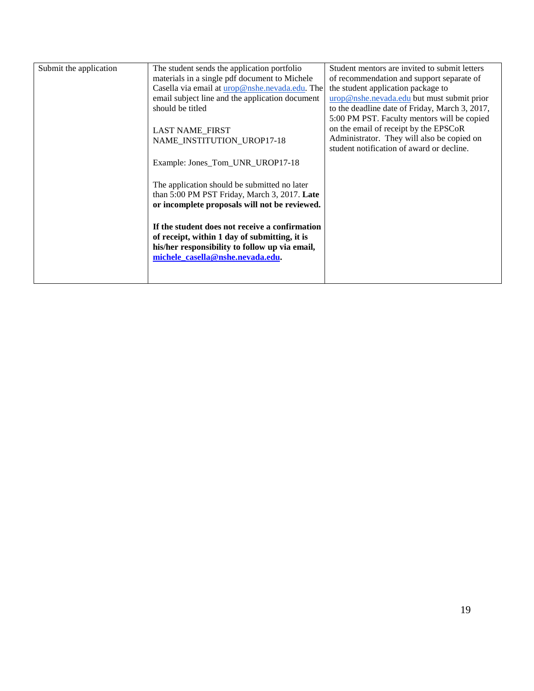| Submit the application | The student sends the application portfolio     | Student mentors are invited to submit letters  |
|------------------------|-------------------------------------------------|------------------------------------------------|
|                        | materials in a single pdf document to Michele   | of recommendation and support separate of      |
|                        | Casella via email at urop@nshe.nevada.edu. The  | the student application package to             |
|                        | email subject line and the application document | urop@nshe.nevada.edu but must submit prior     |
|                        | should be titled                                | to the deadline date of Friday, March 3, 2017, |
|                        |                                                 | 5:00 PM PST. Faculty mentors will be copied    |
|                        | <b>LAST NAME_FIRST</b>                          | on the email of receipt by the EPSCoR          |
|                        | NAME INSTITUTION UROP17-18                      | Administrator. They will also be copied on     |
|                        |                                                 | student notification of award or decline.      |
|                        | Example: Jones_Tom_UNR_UROP17-18                |                                                |
|                        | The application should be submitted no later    |                                                |
|                        | than 5:00 PM PST Friday, March 3, 2017. Late    |                                                |
|                        | or incomplete proposals will not be reviewed.   |                                                |
|                        |                                                 |                                                |
|                        | If the student does not receive a confirmation  |                                                |
|                        | of receipt, within 1 day of submitting, it is   |                                                |
|                        | his/her responsibility to follow up via email,  |                                                |
|                        | michele casella@nshe.nevada.edu.                |                                                |
|                        |                                                 |                                                |
|                        |                                                 |                                                |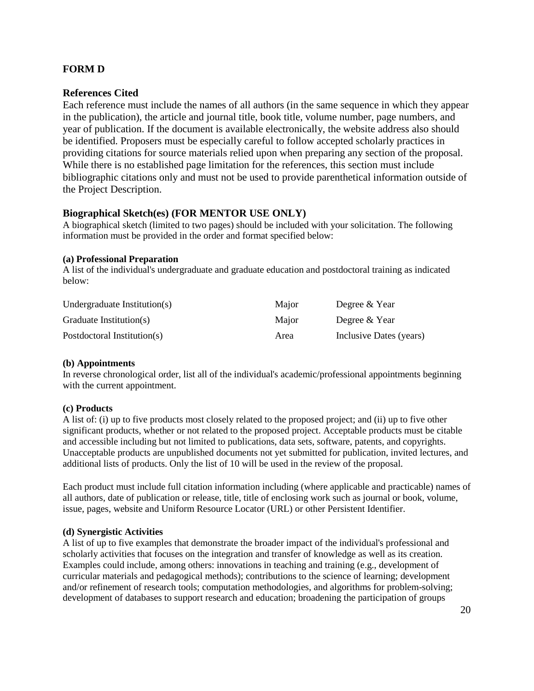#### **FORM D**

#### **References Cited**

Each reference must include the names of all authors (in the same sequence in which they appear in the publication), the article and journal title, book title, volume number, page numbers, and year of publication. If the document is available electronically, the website address also should be identified. Proposers must be especially careful to follow accepted scholarly practices in providing citations for source materials relied upon when preparing any section of the proposal. While there is no established page limitation for the references, this section must include bibliographic citations only and must not be used to provide parenthetical information outside of the Project Description.

#### **Biographical Sketch(es) (FOR MENTOR USE ONLY)**

A biographical sketch (limited to two pages) should be included with your solicitation. The following information must be provided in the order and format specified below:

#### **(a) Professional Preparation**

A list of the individual's undergraduate and graduate education and postdoctoral training as indicated below:

| Undergraduate Institution(s) | Major | Degree & Year           |
|------------------------------|-------|-------------------------|
| Graduate Institution(s)      | Maior | Degree & Year           |
| Postdoctoral Institution(s)  | Area  | Inclusive Dates (years) |

#### **(b) Appointments**

In reverse chronological order, list all of the individual's academic/professional appointments beginning with the current appointment.

#### **(c) Products**

A list of: (i) up to five products most closely related to the proposed project; and (ii) up to five other significant products, whether or not related to the proposed project. Acceptable products must be citable and accessible including but not limited to publications, data sets, software, patents, and copyrights. Unacceptable products are unpublished documents not yet submitted for publication, invited lectures, and additional lists of products. Only the list of 10 will be used in the review of the proposal.

Each product must include full citation information including (where applicable and practicable) names of all authors, date of publication or release, title, title of enclosing work such as journal or book, volume, issue, pages, website and Uniform Resource Locator (URL) or other Persistent Identifier.

#### **(d) Synergistic Activities**

A list of up to five examples that demonstrate the broader impact of the individual's professional and scholarly activities that focuses on the integration and transfer of knowledge as well as its creation. Examples could include, among others: innovations in teaching and training (e.g., development of curricular materials and pedagogical methods); contributions to the science of learning; development and/or refinement of research tools; computation methodologies, and algorithms for problem-solving; development of databases to support research and education; broadening the participation of groups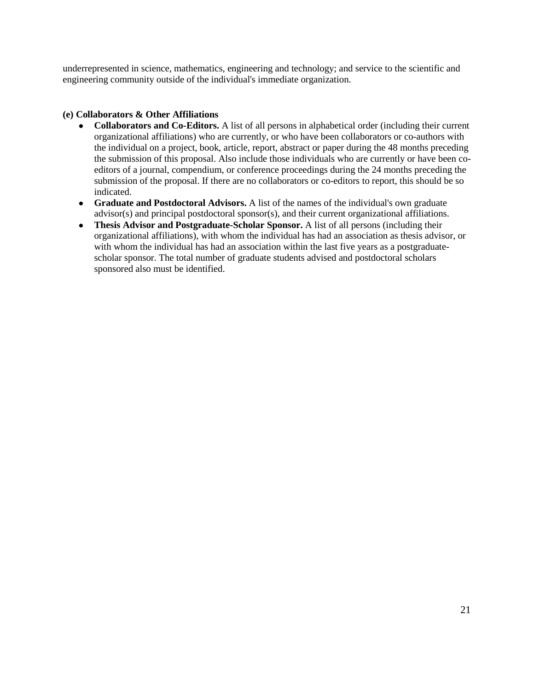underrepresented in science, mathematics, engineering and technology; and service to the scientific and engineering community outside of the individual's immediate organization.

#### **(e) Collaborators & Other Affiliations**

- **Collaborators and Co-Editors.** A list of all persons in alphabetical order (including their current organizational affiliations) who are currently, or who have been collaborators or co-authors with the individual on a project, book, article, report, abstract or paper during the 48 months preceding the submission of this proposal. Also include those individuals who are currently or have been coeditors of a journal, compendium, or conference proceedings during the 24 months preceding the submission of the proposal. If there are no collaborators or co-editors to report, this should be so indicated.
- **Graduate and Postdoctoral Advisors.** A list of the names of the individual's own graduate advisor(s) and principal postdoctoral sponsor(s), and their current organizational affiliations.
- **Thesis Advisor and Postgraduate-Scholar Sponsor.** A list of all persons (including their organizational affiliations), with whom the individual has had an association as thesis advisor, or with whom the individual has had an association within the last five years as a postgraduatescholar sponsor. The total number of graduate students advised and postdoctoral scholars sponsored also must be identified.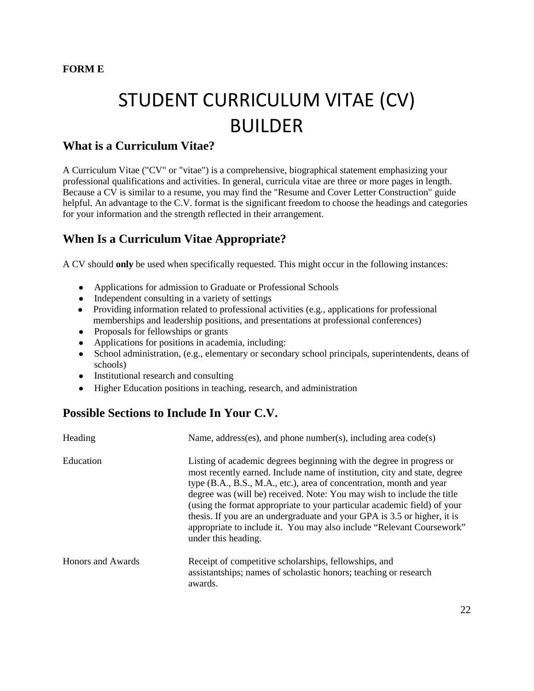#### **FORM E**

# STUDENT CURRICULUM VITAE (CV) BUILDER

## **What is a Curriculum Vitae?**

A Curriculum Vitae ("CV" or "vitae") is a comprehensive, biographical statement emphasizing your professional qualifications and activities. In general, curricula vitae are three or more pages in length. Because a CV is similar to a resume, you may find the "Resume and Cover Letter Construction" guide helpful. An advantage to the C.V. format is the significant freedom to choose the headings and categories for your information and the strength reflected in their arrangement.

## **When Is a Curriculum Vitae Appropriate?**

A CV should **only** be used when specifically requested. This might occur in the following instances:

- Applications for admission to Graduate or Professional Schools
- Independent consulting in a variety of settings
- Providing information related to professional activities (e.g., applications for professional memberships and leadership positions, and presentations at professional conferences)
- Proposals for fellowships or grants
- Applications for positions in academia, including:
- School administration, (e.g., elementary or secondary school principals, superintendents, deans of schools)
- Institutional research and consulting
- Higher Education positions in teaching, research, and administration

## **Possible Sections to Include In Your C.V.**

| Heading           | Name, address(es), and phone number(s), including area $code(s)$                                                                                                                                                                                                                                                                                                                                                                                                                                                                                            |
|-------------------|-------------------------------------------------------------------------------------------------------------------------------------------------------------------------------------------------------------------------------------------------------------------------------------------------------------------------------------------------------------------------------------------------------------------------------------------------------------------------------------------------------------------------------------------------------------|
| Education         | Listing of academic degrees beginning with the degree in progress or<br>most recently earned. Include name of institution, city and state, degree<br>type (B.A., B.S., M.A., etc.), area of concentration, month and year<br>degree was (will be) received. Note: You may wish to include the title<br>(using the format appropriate to your particular academic field) of your<br>thesis. If you are an undergraduate and your GPA is 3.5 or higher, it is<br>appropriate to include it. You may also include "Relevant Coursework"<br>under this heading. |
| Honors and Awards | Receipt of competitive scholarships, fellowships, and<br>assistantships; names of scholastic honors; teaching or research<br>awards.                                                                                                                                                                                                                                                                                                                                                                                                                        |